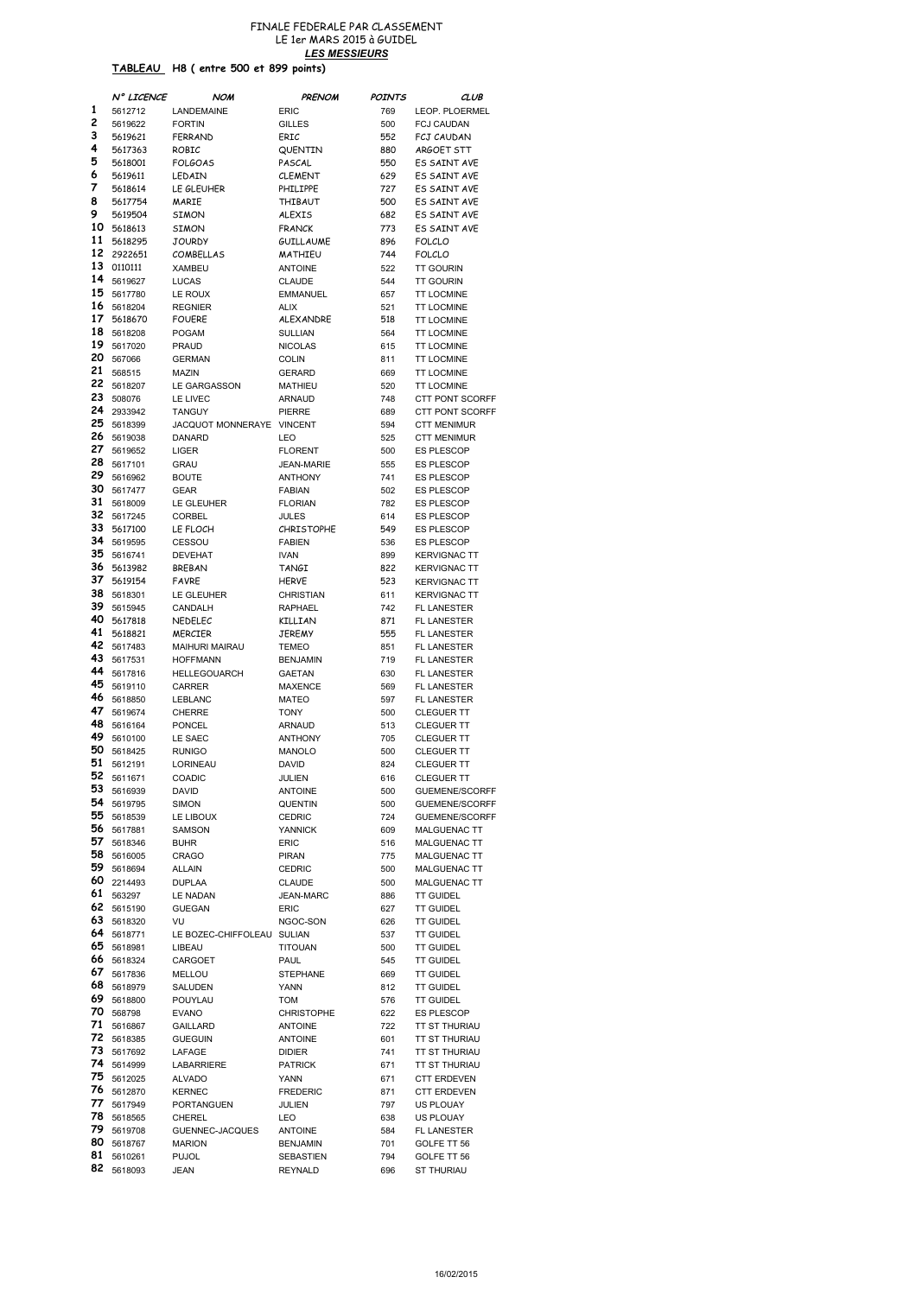#### FINALE FEDERALE PAR CLASSEMENT LE 1er MARS 2015 à GUIDEL *LES MESSIEURS*

#### **TABLEAU H8 ( entre 500 et 899 points)**

|          | N° LICENCE         | <b>NOM</b>                       | PRENOM                           | POINTS     | <b>CLUB</b>                            |
|----------|--------------------|----------------------------------|----------------------------------|------------|----------------------------------------|
| 1        | 5612712            | LANDEMAINE                       | ERIC                             | 769        | LEOP. PLOERMEL                         |
| 2        | 5619622            | <b>FORTIN</b>                    | <b>GILLES</b>                    | 500        | <b>FCJ CAUDAN</b>                      |
| 3        | 5619621            | FERRAND                          | ERIC                             | 552        | FCJ CAUDAN                             |
| 4        | 5617363            | ROBIC                            | QUENTIN                          | 880        | ARGOET STT                             |
| 5        | 5618001            | FOLGOAS                          | PASCAL                           | 550        | ES SAINT AVE                           |
| 6<br>7   | 5619611<br>5618614 | LEDAIN                           | <b>CLEMENT</b>                   | 629        | ES SAINT AVE                           |
| 8        | 5617754            | LE GLEUHER<br>MARIE              | PHILIPPE<br>THIBAUT              | 727<br>500 | ES SAINT AVE<br>ES SAINT AVE           |
| 9        | 5619504            | SIMON                            | <b>ALEXIS</b>                    | 682        | ES SAINT AVE                           |
| 10       | 5618613            | SIMON                            | <b>FRANCK</b>                    | 773        | <b>ES SAINT AVE</b>                    |
| 11       | 5618295            | <b>JOURDY</b>                    | GUILLAUME                        | 896        | <b>FOLCLO</b>                          |
| 12       | 2922651            | <b>COMBELLAS</b>                 | <b>MATHIEU</b>                   | 744        | <b>FOLCLO</b>                          |
| 13       | 0110111            | <b>XAMBEU</b>                    | <b>ANTOINE</b>                   | 522        | <b>TT GOURIN</b>                       |
| 14       | 5619627            | <b>LUCAS</b>                     | <b>CLAUDE</b>                    | 544        | <b>TT GOURIN</b>                       |
| 15       | 5617780            | LE ROUX                          | <b>EMMANUEL</b>                  | 657        | <b>TT LOCMINE</b>                      |
| 16       | 5618204            | <b>REGNIER</b>                   | <b>ALIX</b>                      | 521        | <b>TT LOCMINE</b>                      |
| 17<br>18 | 5618670            | <b>FOUERE</b>                    | <b>ALEXANDRE</b>                 | 518        | <b>TT LOCMINE</b>                      |
| 19       | 5618208<br>5617020 | POGAM<br><b>PRAUD</b>            | <b>SULLIAN</b><br><b>NICOLAS</b> | 564<br>615 | <b>TT LOCMINE</b><br><b>TT LOCMINE</b> |
| 20       | 567066             | <b>GERMAN</b>                    | <b>COLIN</b>                     | 811        | <b>TT LOCMINE</b>                      |
| 21       | 568515             | MAZIN                            | <b>GERARD</b>                    | 669        | <b>TT LOCMINE</b>                      |
| 22       | 5618207            | <b>LE GARGASSON</b>              | MATHIEU                          | 520        | <b>TT LOCMINE</b>                      |
| 23       | 508076             | LE LIVEC                         | <b>ARNAUD</b>                    | 748        | CTT PONT SCORFF                        |
| 24       | 2933942            | <b>TANGUY</b>                    | PIERRE                           | 689        | CTT PONT SCORFF                        |
| 25       | 5618399            | JACQUOT MONNERAYE                | <b>VINCENT</b>                   | 594        | <b>CTT MENIMUR</b>                     |
| 26       | 5619038            | <b>DANARD</b>                    | LEO                              | 525        | <b>CTT MENIMUR</b>                     |
| 27       | 5619652            | <b>LIGER</b>                     | <b>FLORENT</b>                   | 500        | <b>ES PLESCOP</b>                      |
| 28       | 5617101            | <b>GRAU</b>                      | <b>JEAN-MARIE</b>                | 555        | <b>ES PLESCOP</b>                      |
| 29<br>30 | 5616962            | <b>BOUTE</b>                     | <b>ANTHONY</b>                   | 741        | <b>ES PLESCOP</b>                      |
| 31       | 5617477<br>5618009 | <b>GEAR</b><br>LE GLEUHER        | <b>FABIAN</b><br><b>FLORIAN</b>  | 502<br>782 | <b>ES PLESCOP</b><br><b>ES PLESCOP</b> |
| 32       | 5617245            | <b>CORBEL</b>                    | <b>JULES</b>                     | 614        | <b>ES PLESCOP</b>                      |
| 33       | 5617100            | LE FLOCH                         | <b>CHRISTOPHE</b>                | 549        | <b>ES PLESCOP</b>                      |
| 34       | 5619595            | CESSOU                           | <b>FABIEN</b>                    | 536        | <b>ES PLESCOP</b>                      |
| 35       | 5616741            | <b>DEVEHAT</b>                   | <b>IVAN</b>                      | 899        | <b>KERVIGNAC TT</b>                    |
| 36       | 5613982            | <b>BREBAN</b>                    | <b>TANGI</b>                     | 822        | <b>KERVIGNAC TT</b>                    |
| 37       | 5619154            | <b>FAVRE</b>                     | <b>HERVE</b>                     | 523        | <b>KERVIGNAC TT</b>                    |
| 38       | 5618301            | LE GLEUHER                       | <b>CHRISTIAN</b>                 | 611        | <b>KERVIGNAC TT</b>                    |
| 39       | 5615945            | CANDALH                          | <b>RAPHAEL</b>                   | 742        | <b>FL LANESTER</b>                     |
| 40<br>41 | 5617818            | NEDELEC                          | KILLIAN                          | 871        | <b>FL LANESTER</b>                     |
| 42       | 5618821<br>5617483 | MERCIER<br><b>MAIHURI MAIRAU</b> | <b>JEREMY</b><br>TEMEO           | 555<br>851 | <b>FL LANESTER</b><br>FL LANESTER      |
| 43       | 5617531            | <b>HOFFMANN</b>                  | <b>BENJAMIN</b>                  | 719        | <b>FL LANESTER</b>                     |
| 44       | 5617816            | <b>HELLEGOUARCH</b>              | <b>GAETAN</b>                    | 630        | <b>FL LANESTER</b>                     |
| 45       | 5619110            | <b>CARRER</b>                    | <b>MAXENCE</b>                   | 569        | FL LANESTER                            |
| 46       | 5618850            | LEBLANC                          | <b>MATEO</b>                     | 597        | <b>FL LANESTER</b>                     |
| 47       | 5619674            | <b>CHERRE</b>                    | TONY                             | 500        | <b>CLEGUER TT</b>                      |
| 48       | 5616164            | <b>PONCEL</b>                    | ARNAUD                           | 513        | <b>CLEGUER TT</b>                      |
| 49       | 5610100            | LE SAEC                          | <b>ANTHONY</b>                   | 705        | <b>CLEGUER TT</b>                      |
| 50<br>51 | 5618425            | <b>RUNIGO</b>                    | MANOLO                           | 500        | CLEGUER TT                             |
| 52       | 5612191            | LORINEAU                         | <b>DAVID</b>                     | 824        | <b>CLEGUER TT</b>                      |
| 53       | 5611671<br>5616939 | <b>COADIC</b><br><b>DAVID</b>    | JULIEN<br>ANTOINE                | 616<br>500 | CLEGUER II<br>GUEMENE/SCORFF           |
| 54       | 5619795            | <b>SIMON</b>                     | QUENTIN                          | 500        | GUEMENE/SCORFF                         |
| 55       | 5618539            | LE LIBOUX                        | <b>CEDRIC</b>                    | 724        | GUEMENE/SCORFF                         |
| 56       | 5617881            | SAMSON                           | <b>YANNICK</b>                   | 609        | MALGUENAC TT                           |
| 57       | 5618346            | <b>BUHR</b>                      | <b>ERIC</b>                      | 516        | MALGUENAC TT                           |
| 58       | 5616005            | CRAGO                            | PIRAN                            | 775        | MALGUENAC TT                           |
| 59       | 5618694            | ALLAIN                           | <b>CEDRIC</b>                    | 500        | MALGUENAC TT                           |
| 60<br>61 | 2214493            | <b>DUPLAA</b>                    | CLAUDE                           | 500        | MALGUENAC TT                           |
| 62       | 563297<br>5615190  | LE NADAN<br><b>GUEGAN</b>        | <b>JEAN-MARC</b><br><b>ERIC</b>  | 886<br>627 | <b>TT GUIDEL</b><br><b>TT GUIDEL</b>   |
| 63       | 5618320            | VU                               | NGOC-SON                         | 626        | <b>TT GUIDEL</b>                       |
| 64       | 5618771            | LE BOZEC-CHIFFOLEAU SULIAN       |                                  | 537        | <b>TT GUIDEL</b>                       |
| 65       | 5618981            | LIBEAU                           | <b>TITOUAN</b>                   | 500        | <b>TT GUIDEL</b>                       |
| 66       | 5618324            | CARGOET                          | PAUL                             | 545        | <b>TT GUIDEL</b>                       |
| 67       | 5617836            | MELLOU                           | <b>STEPHANE</b>                  | 669        | <b>TT GUIDEL</b>                       |
| 68       | 5618979            | SALUDEN                          | YANN                             | 812        | <b>TT GUIDEL</b>                       |
| 69       | 5618800            | POUYLAU                          | TOM                              | 576        | <b>TT GUIDEL</b>                       |
| 70       | 568798             | <b>EVANO</b>                     | <b>CHRISTOPHE</b>                | 622        | ES PLESCOP                             |
| 71<br>72 | 5616867            | <b>GAILLARD</b>                  | ANTOINE                          | 722        | TT ST THURIAU                          |
| 73       | 5618385<br>5617692 | <b>GUEGUIN</b><br>LAFAGE         | <b>ANTOINE</b><br>DIDIER         | 601<br>741 | TT ST THURIAU<br>TT ST THURIAU         |
| 74       | 5614999            | <b>LABARRIERE</b>                | <b>PATRICK</b>                   | 671        | TT ST THURIAU                          |
| 75       | 5612025            | <b>ALVADO</b>                    | <b>YANN</b>                      | 671        | <b>CTT ERDEVEN</b>                     |
| 76       | 5612870            | <b>KERNEC</b>                    | <b>FREDERIC</b>                  | 871        | <b>CTT ERDEVEN</b>                     |
| 77       | 5617949            | PORTANGUEN                       | JULIEN                           | 797        | <b>US PLOUAY</b>                       |
| 78       | 5618565            | CHEREL                           | LEO                              | 638        | <b>US PLOUAY</b>                       |
| 79       | 5619708            | GUENNEC-JACQUES                  | <b>ANTOINE</b>                   | 584        | FL LANESTER                            |
| 80       | 5618767            | <b>MARION</b>                    | <b>BENJAMIN</b>                  | 701        | GOLFE TT 56                            |
| 81<br>82 | 5610261<br>5618093 | <b>PUJOL</b><br><b>JEAN</b>      | SEBASTIEN<br><b>REYNALD</b>      | 794<br>696 | GOLFE TT 56<br>ST THURIAU              |
|          |                    |                                  |                                  |            |                                        |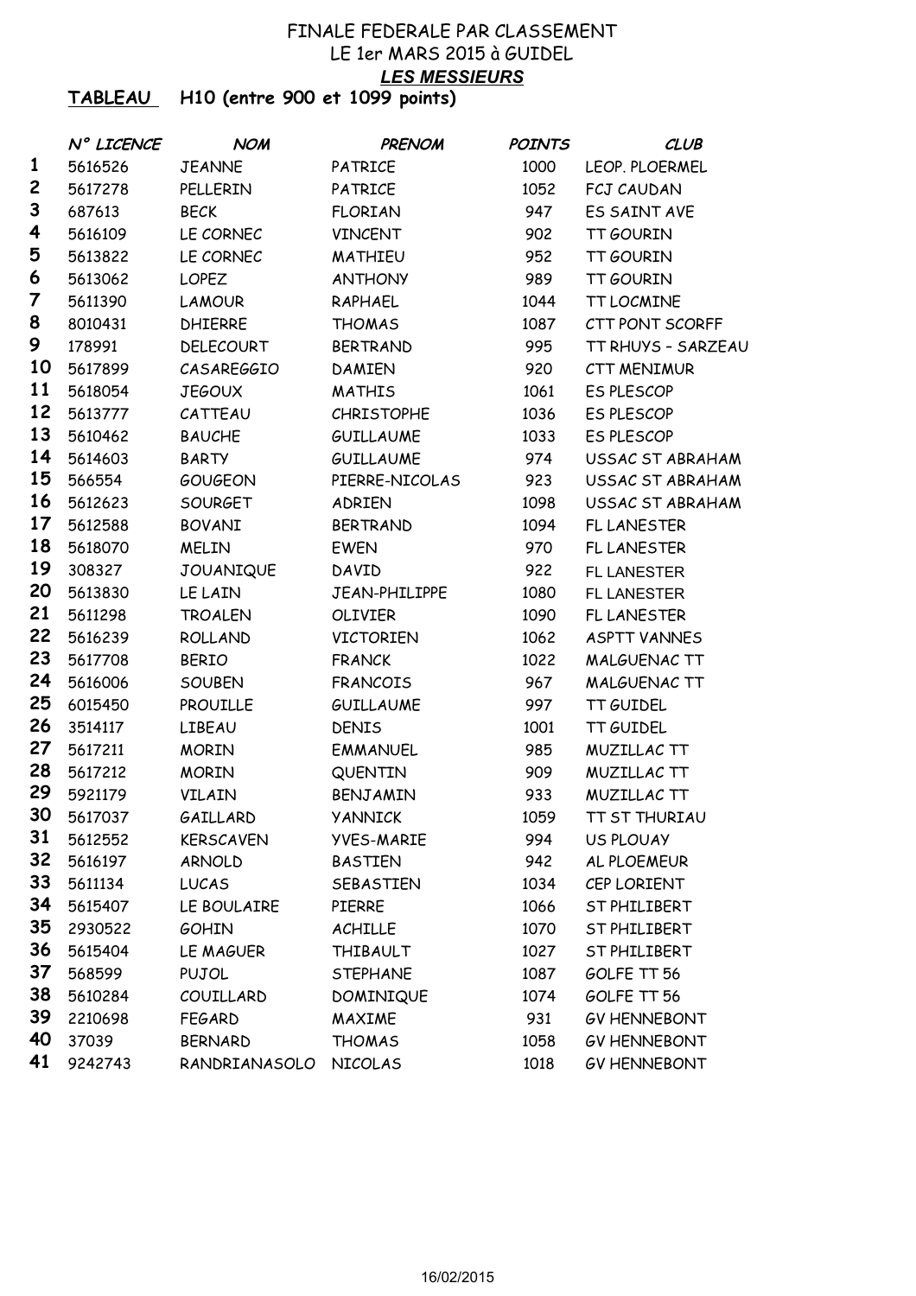### FINALE FEDERALE PAR CLASSEMENT LE 1er MARS 2015 à GUIDEL *LES MESSIEURS*

# **TABLEAU H10 (entre 900 et 1099 points)**

|    | N° LICENCE | <b>NOM</b>        | PRENOM               | <b>POINTS</b> | <b>CLUB</b>         |
|----|------------|-------------------|----------------------|---------------|---------------------|
| 1  | 5616526    | <b>JEANNE</b>     | <b>PATRICE</b>       | 1000          | LEOP. PLOERMEL      |
| 2  | 5617278    | PELLERIN          | PATRICE              | 1052          | FCJ CAUDAN          |
| 3  | 687613     | <b>BECK</b>       | <b>FLORIAN</b>       | 947           | ES SAINT AVE        |
| 4  | 5616109    | LE CORNEC         | <b>VINCENT</b>       | 902           | TT GOURIN           |
| 5  | 5613822    | LE CORNEC         | <b>MATHIEU</b>       | 952           | TT GOURIN           |
| 6  | 5613062    | <b>LOPEZ</b>      | <b>ANTHONY</b>       | 989           | TT GOURIN           |
| 7  | 5611390    | <b>LAMOUR</b>     | RAPHAEL              | 1044          | <b>TT LOCMINE</b>   |
| 8  | 8010431    | <b>DHIERRE</b>    | <b>THOMAS</b>        | 1087          | CTT PONT SCORFF     |
| 9  | 178991     | <b>DELECOURT</b>  | <b>BERTRAND</b>      | 995           | TT RHUYS - SARZEAU  |
| 10 | 5617899    | <b>CASAREGGIO</b> | DAMIEN               | 920           | <b>CTT MENIMUR</b>  |
| 11 | 5618054    | <b>JEGOUX</b>     | <b>MATHIS</b>        | 1061          | ES PLESCOP          |
| 12 | 5613777    | CATTEAU           | <b>CHRISTOPHE</b>    | 1036          | ES PLESCOP          |
| 13 | 5610462    | <b>BAUCHE</b>     | <b>GUILLAUME</b>     | 1033          | ES PLESCOP          |
| 14 | 5614603    | <b>BARTY</b>      | <b>GUILLAUME</b>     | 974           | USSAC ST ABRAHAM    |
| 15 | 566554     | <b>GOUGEON</b>    | PIERRE-NICOLAS       | 923           | USSAC ST ABRAHAM    |
| 16 | 5612623    | <b>SOURGET</b>    | ADRIEN               | 1098          | USSAC ST ABRAHAM    |
| 17 | 5612588    | <b>BOVANI</b>     | <b>BERTRAND</b>      | 1094          | FL LANESTER         |
| 18 | 5618070    | <b>MELIN</b>      | <b>EWEN</b>          | 970           | FL LANESTER         |
| 19 | 308327     | <b>JOUANIQUE</b>  | DAVID                | 922           | FL LANESTER         |
| 20 | 5613830    | LE LAIN           | <b>JEAN-PHILIPPE</b> | 1080          | FL LANESTER         |
| 21 | 5611298    | <b>TROALEN</b>    | <b>OLIVIER</b>       | 1090          | FL LANESTER         |
| 22 | 5616239    | <b>ROLLAND</b>    | <b>VICTORIEN</b>     | 1062          | <b>ASPTT VANNES</b> |
| 23 | 5617708    | <b>BERIO</b>      | <b>FRANCK</b>        | 1022          | MALGUENAC TT        |
| 24 | 5616006    | <b>SOUBEN</b>     | <b>FRANCOIS</b>      | 967           | MALGUENAC TT        |
| 25 | 6015450    | PROUILLE          | <b>GUILLAUME</b>     | 997           | TT GUIDEL           |
| 26 | 3514117    | LIBEAU            | <b>DENIS</b>         | 1001          | TT GUIDEL           |
| 27 | 5617211    | <b>MORIN</b>      | <b>EMMANUEL</b>      | 985           | MUZILLAC TT         |
| 28 | 5617212    | <b>MORIN</b>      | QUENTIN              | 909           | MUZILLAC TT         |
| 29 | 5921179    | VILAIN            | <b>BENJAMIN</b>      | 933           | MUZILLAC TT         |
| 30 | 5617037    | GAILLARD          | <b>YANNICK</b>       | 1059          | TT ST THURIAU       |
| 31 | 5612552    | <b>KERSCAVEN</b>  | <b>YVES-MARIE</b>    | 994           | US PLOUAY           |
| 32 | 5616197    | ARNOLD            | <b>BASTIEN</b>       | 942           | AL PLOEMEUR         |
| 33 | 5611134    | <b>LUCAS</b>      | SEBASTIEN            | 1034          | CEP LORIENT         |
| 34 | 5615407    | LE BOULAIRE       | <b>PIERRE</b>        | 1066          | ST PHILIBERT        |
| 35 | 2930522    | <b>GOHIN</b>      | <b>ACHILLE</b>       | 1070          | ST PHILIBERT        |
| 36 | 5615404    | LE MAGUER         | THIBAULT             | 1027          | ST PHILIBERT        |
| 37 | 568599     | <b>PUJOL</b>      | <b>STEPHANE</b>      | 1087          | GOLFE TT 56         |
| 38 | 5610284    | COUILLARD         | <b>DOMINIQUE</b>     | 1074          | GOLFE TT 56         |
| 39 | 2210698    | <b>FEGARD</b>     | <b>MAXIME</b>        | 931           | <b>GV HENNEBONT</b> |
| 40 | 37039      | <b>BERNARD</b>    | <b>THOMAS</b>        | 1058          | <b>GV HENNEBONT</b> |
| 41 | 9242743    | RANDRIANASOLO     | <b>NICOLAS</b>       | 1018          | <b>GV HENNEBONT</b> |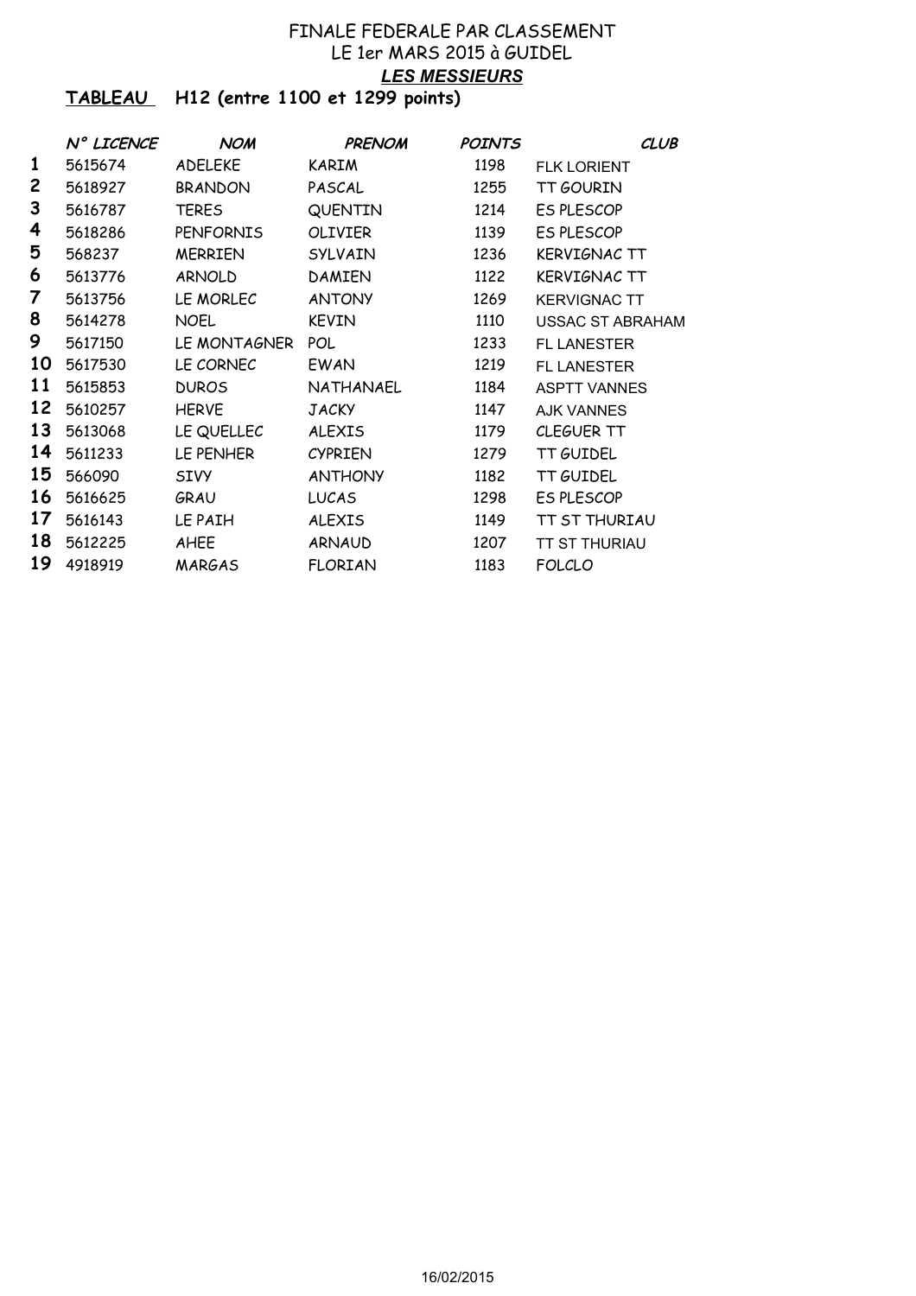### FINALE FEDERALE PAR CLASSEMENT LE 1er MARS 2015 à GUIDEL *LES MESSIEURS*

# **TABLEAU H12 (entre 1100 et 1299 points)**

|              | N° LICENCE | <b>NOM</b>       | PRENOM         | <b>POINTS</b> | <b>CLUB</b>             |
|--------------|------------|------------------|----------------|---------------|-------------------------|
| 1            | 5615674    | ADELEKE          | KARIM          | 1198          | <b>FLK LORIENT</b>      |
| $\mathbf{2}$ | 5618927    | <b>BRANDON</b>   | PASCAL         | 1255          | TT GOURIN               |
| $\mathbf{3}$ | 5616787    | <b>TERES</b>     | <b>QUENTIN</b> | 1214          | <b>ES PLESCOP</b>       |
| 4            | 5618286    | <b>PENFORNIS</b> | <b>OLIVIER</b> | 1139          | <b>ES PLESCOP</b>       |
| 5            | 568237     | <b>MERRIEN</b>   | SYLVAIN        | 1236          | <b>KERVIGNAC TT</b>     |
| 6            | 5613776    | <b>ARNOLD</b>    | <b>DAMIEN</b>  | 1122          | <b>KERVIGNAC TT</b>     |
| 7            | 5613756    | LE MORLEC        | <b>ANTONY</b>  | 1269          | <b>KERVIGNAC TT</b>     |
| 8            | 5614278    | <b>NOEL</b>      | <b>KEVIN</b>   | 1110          | <b>USSAC ST ABRAHAM</b> |
| 9            | 5617150    | LE MONTAGNER     | POL            | 1233          | <b>FL LANESTER</b>      |
| 10           | 5617530    | LE CORNEC        | <b>EWAN</b>    | 1219          | <b>FL LANESTER</b>      |
| 11           | 5615853    | <b>DUROS</b>     | NATHANAEL      | 1184          | <b>ASPTT VANNES</b>     |
| 12           | 5610257    | <b>HERVE</b>     | <b>JACKY</b>   | 1147          | <b>AJK VANNES</b>       |
| 13           | 5613068    | LE QUELLEC       | <b>ALEXIS</b>  | 1179          | <b>CLEGUER TT</b>       |
| 14           | 5611233    | LE PENHER        | <b>CYPRIEN</b> | 1279          | TT GUIDEL               |
| 15           | 566090     | <b>SIVY</b>      | <b>ANTHONY</b> | 1182          | TT GUIDEL               |
| 16           | 5616625    | GRAU             | <b>LUCAS</b>   | 1298          | <b>ES PLESCOP</b>       |
| 17           | 5616143    | LE PAIH          | <b>ALEXIS</b>  | 1149          | TT ST THURIAU           |
| 18           | 5612225    | <b>AHEE</b>      | <b>ARNAUD</b>  | 1207          | TT ST THURIAU           |
| 19           | 4918919    | <b>MARGAS</b>    | <b>FLORIAN</b> | 1183          | <b>FOLCLO</b>           |